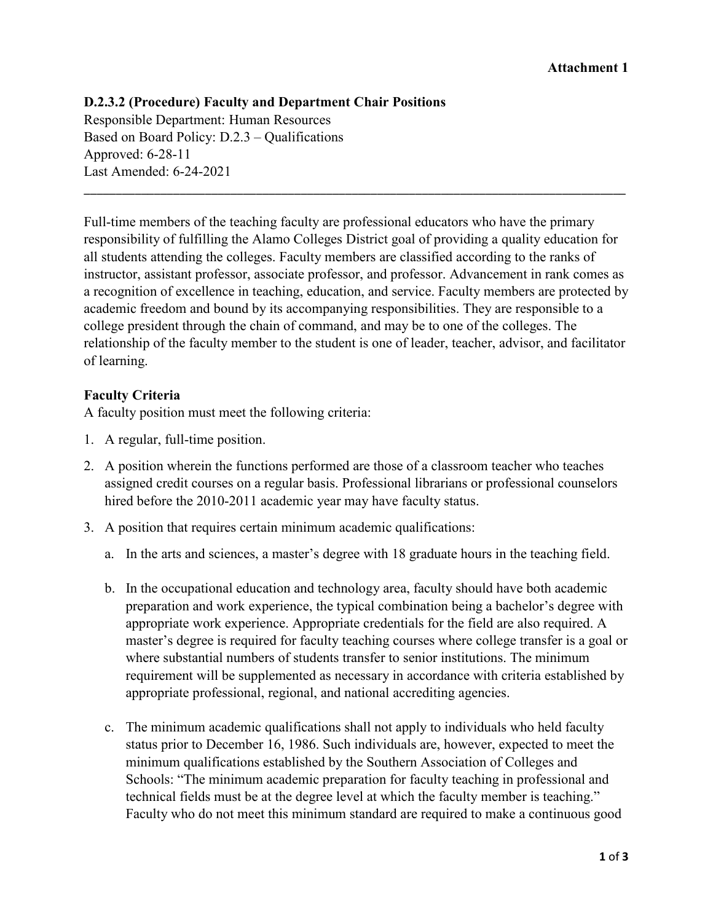#### **Attachment 1**

# **D.2.3.2 (Procedure) Faculty and Department Chair Positions** Responsible Department: Human Resources Based on Board Policy: D.2.3 – Qualifications Approved: 6-28-11 Last Amended: 6-24-2021

Full-time members of the teaching faculty are professional educators who have the primary responsibility of fulfilling the Alamo Colleges District goal of providing a quality education for all students attending the colleges. Faculty members are classified according to the ranks of instructor, assistant professor, associate professor, and professor. Advancement in rank comes as a recognition of excellence in teaching, education, and service. Faculty members are protected by academic freedom and bound by its accompanying responsibilities. They are responsible to a college president through the chain of command, and may be to one of the colleges. The relationship of the faculty member to the student is one of leader, teacher, advisor, and facilitator of learning.

\_\_\_\_\_\_\_\_\_\_\_\_\_\_\_\_\_\_\_\_\_\_\_\_\_\_\_\_\_\_\_\_\_\_\_\_\_\_\_\_\_\_\_\_\_\_\_\_\_\_\_\_\_\_\_\_\_\_\_\_\_\_\_\_\_\_\_\_\_\_\_\_\_\_\_\_\_\_\_\_\_\_\_\_\_

## **Faculty Criteria**

A faculty position must meet the following criteria:

- 1. A regular, full-time position.
- 2. A position wherein the functions performed are those of a classroom teacher who teaches assigned credit courses on a regular basis. Professional librarians or professional counselors hired before the 2010-2011 academic year may have faculty status.
- 3. A position that requires certain minimum academic qualifications:
	- a. In the arts and sciences, a master's degree with 18 graduate hours in the teaching field.
	- b. In the occupational education and technology area, faculty should have both academic preparation and work experience, the typical combination being a bachelor's degree with appropriate work experience. Appropriate credentials for the field are also required. A master's degree is required for faculty teaching courses where college transfer is a goal or where substantial numbers of students transfer to senior institutions. The minimum requirement will be supplemented as necessary in accordance with criteria established by appropriate professional, regional, and national accrediting agencies.
	- c. The minimum academic qualifications shall not apply to individuals who held faculty status prior to December 16, 1986. Such individuals are, however, expected to meet the minimum qualifications established by the Southern Association of Colleges and Schools: "The minimum academic preparation for faculty teaching in professional and technical fields must be at the degree level at which the faculty member is teaching." Faculty who do not meet this minimum standard are required to make a continuous good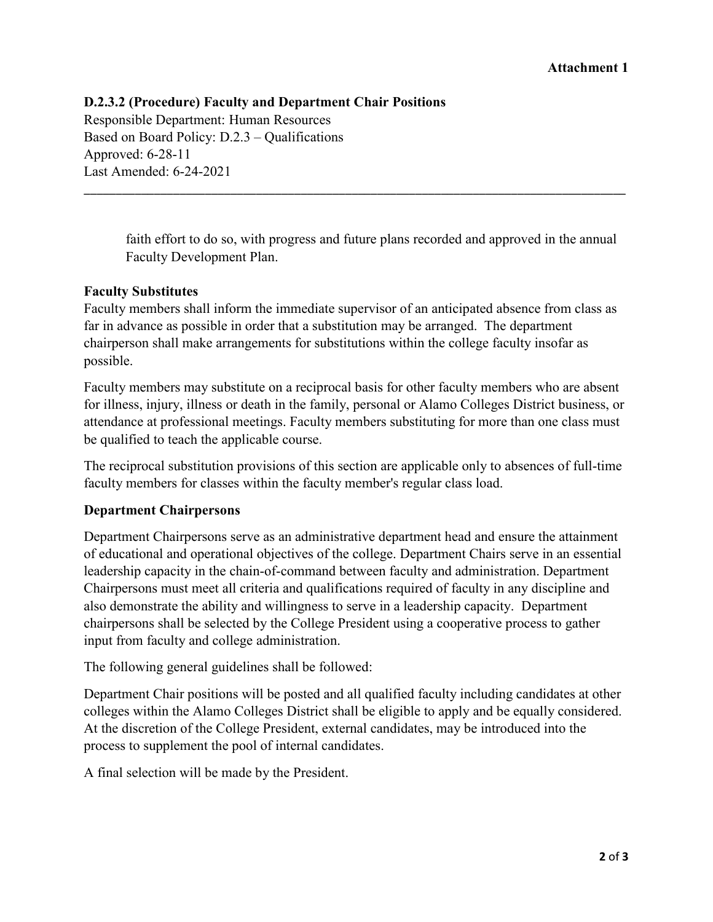# **D.2.3.2 (Procedure) Faculty and Department Chair Positions** Responsible Department: Human Resources Based on Board Policy: D.2.3 – Qualifications Approved: 6-28-11 Last Amended: 6-24-2021

faith effort to do so, with progress and future plans recorded and approved in the annual Faculty Development Plan.

\_\_\_\_\_\_\_\_\_\_\_\_\_\_\_\_\_\_\_\_\_\_\_\_\_\_\_\_\_\_\_\_\_\_\_\_\_\_\_\_\_\_\_\_\_\_\_\_\_\_\_\_\_\_\_\_\_\_\_\_\_\_\_\_\_\_\_\_\_\_\_\_\_\_\_\_\_\_\_\_\_\_\_\_\_

## **Faculty Substitutes**

Faculty members shall inform the immediate supervisor of an anticipated absence from class as far in advance as possible in order that a substitution may be arranged. The department chairperson shall make arrangements for substitutions within the college faculty insofar as possible.

Faculty members may substitute on a reciprocal basis for other faculty members who are absent for illness, injury, illness or death in the family, personal or Alamo Colleges District business, or attendance at professional meetings. Faculty members substituting for more than one class must be qualified to teach the applicable course.

The reciprocal substitution provisions of this section are applicable only to absences of full-time faculty members for classes within the faculty member's regular class load.

## **Department Chairpersons**

Department Chairpersons serve as an administrative department head and ensure the attainment of educational and operational objectives of the college. Department Chairs serve in an essential leadership capacity in the chain-of-command between faculty and administration. Department Chairpersons must meet all criteria and qualifications required of faculty in any discipline and also demonstrate the ability and willingness to serve in a leadership capacity. Department chairpersons shall be selected by the College President using a cooperative process to gather input from faculty and college administration.

The following general guidelines shall be followed:

Department Chair positions will be posted and all qualified faculty including candidates at other colleges within the Alamo Colleges District shall be eligible to apply and be equally considered. At the discretion of the College President, external candidates, may be introduced into the process to supplement the pool of internal candidates.

A final selection will be made by the President.